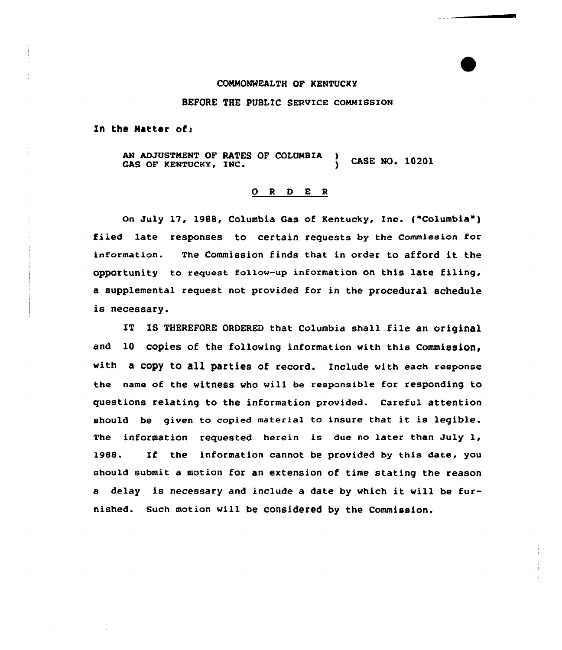#### COMMONWEALTH OF KENTUCKY

#### BEFORE THE PUBLIC SERVICE COMMISSION

In the Matter of:

AN ADJUSTMENT OF RATES OF COLUMBIA CASE NO. 10201 GAS OF KENTUCKY, INC.

### 0 <sup>R</sup> <sup>D</sup> E <sup>R</sup>

On July 17, 1988, Columbia Gas of Kentucky, Inc. ("Columbia" ) filed late responses to certain requests by the Commission for information. The Commission finds that in order to afford it the opportunity to request follow-up information on this late filing, a supplemental request not provided for in the procedural schedule is necessary.

IT IS THEREFORE ORDERED that Columbia shall file an original and 10 copies of the following information with this Commission. with a copy to all parties of record. Include with each response the name of the witness vho will be responsible for responding to questions relating to the information provided. Careful attention should be given to copied material to insure that it is legible. The information requested herein is due no later than July 1, 1988. If the information cannot be provided by this date, you should submit a motion for an extension of time stating the reason <sup>a</sup> delay is necessary and include <sup>a</sup> date by which it vill be furnished. Such motion vill be considered by the Commission.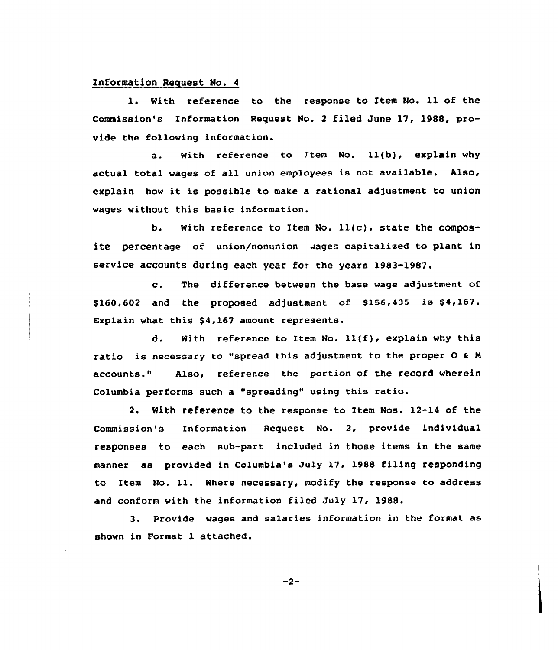#### Information Request No. 4

With reference to the response to Item No. 11 of the Commission's Information Request No. <sup>2</sup> filed June 17, 1988, provide the following information.

a. With reference to Ttem No. 11(b), explain why actual total wages of all union employees is not available. Also, explain how it is possible to make <sup>a</sup> rational adjustment to union wages without this basic information.

b. With reference to Item No.  $11(c)$ , state the composite percentage of union/nonunion wages capitalized to plant in service accounts during each year for the years 1983-1987.

c. The difference between the base wage adjustment of \$160,602 and the proposed adjustment of \$156,435 is \$4,167. Explain what this \$4,167 amount represents.

d. With reference to Item No.  $11(f)$ , explain why this ratio is necessary to "spread this adjustment to the proper  $O \triangleleft M$ accounts." Also, reference the portion of the record wherein Columbia performs such a "spreading" using this ratio.

2. With reference to the response to Item Nos. 12-14 of the Commission's Information Request No. 2, provide individual responses to each sub-part included in those items in the same manner as provided in Columbia's July 17, 1988 filing responding to Item No. 11. Where necessary, modify the response to address and conform with the information filed July 17, 1988.

3. Provide wages and salaries information in the format as shown in Format 1 attached.

 $-2-$ 

المستشف والوالي المملك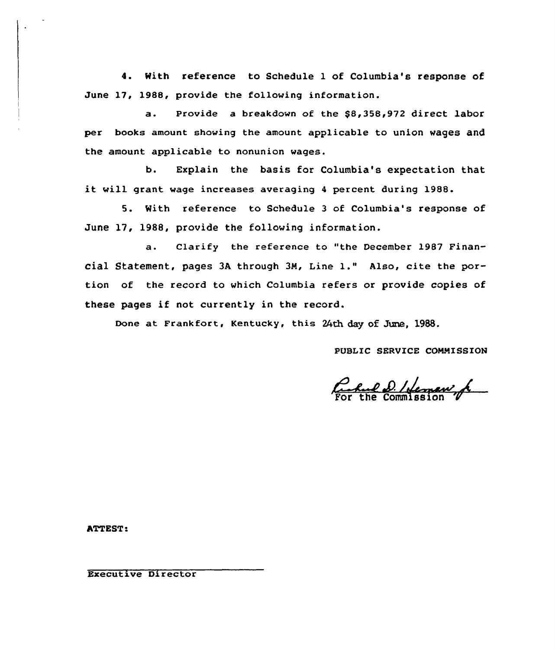4. With reference to Schedule 1 of Columbia's response of June 17, 1988, provide the following information.

a. Provide a breakdown of the \$8,358,972 direct labor per books amount showing the amount applicable to union wages and the amount applicable to nonunion wages.

b. Explain the basis for Columbia's expectation that it will grant wage increases averaging <sup>4</sup> percent during 1988.

5. With reference to Schedule 3 of Columbia's response of June 17, 1988, provide the following information.

a. Clarify the reference to "the December 1987 Financial Statement, pages  $3A$  through  $3M$ , Line 1." Also, cite the portion of the record to which Columbia refers or provide copies of these pages if not currently in the record.

Done at Frankfort, Kentucky, this 24th day of June, 1988.

PUBLIC SERVICE COMMISSION

For the Commission V

ATTEST:

Executive Director